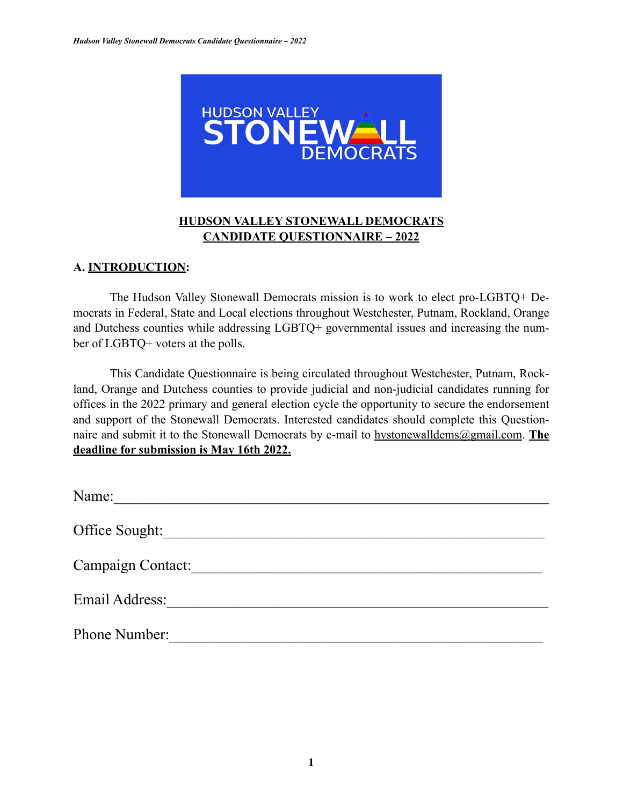

## **HUDSON VALLEY STONEWALL DEMOCRATS CANDIDATE QUESTIONNAIRE – 2022**

## **A. INTRODUCTION:**

The Hudson Valley Stonewall Democrats mission is to work to elect pro-LGBTQ+ Democrats in Federal, State and Local elections throughout Westchester, Putnam, Rockland, Orange and Dutchess counties while addressing LGBTQ+ governmental issues and increasing the number of LGBTQ+ voters at the polls.

This Candidate Questionnaire is being circulated throughout Westchester, Putnam, Rockland, Orange and Dutchess counties to provide judicial and non-judicial candidates running for offices in the 2022 primary and general election cycle the opportunity to secure the endorsement and support of the Stonewall Democrats. Interested candidates should complete this Questionnaire and submit it to the Stonewall Democrats by e-mail to hystonewalldems@gmail.com. **The deadline for submission is May 16th 2022.**

| Name:             |
|-------------------|
| Office Sought:    |
| Campaign Contact: |
| Email Address:    |
| Phone Number:     |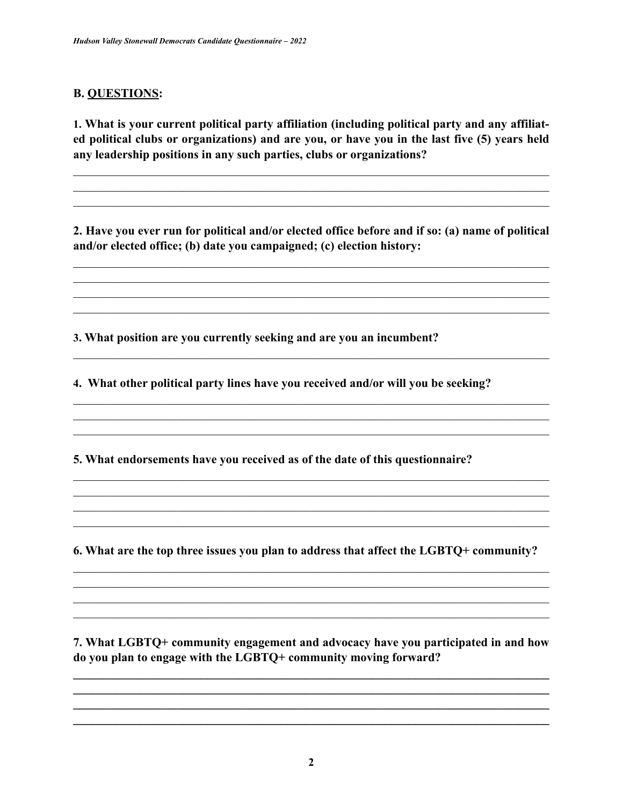## **B. QUESTIONS:**

1. What is your current political party affiliation (including political party and any affiliated political clubs or organizations) and are you, or have you in the last five (5) years held any leadership positions in any such parties, clubs or organizations?

2. Have you ever run for political and/or elected office before and if so: (a) name of political and/or elected office; (b) date you campaigned; (c) election history:

3. What position are you currently seeking and are you an incumbent?

4. What other political party lines have you received and/or will you be seeking?

5. What endorsements have you received as of the date of this questionnaire?

6. What are the top three issues you plan to address that affect the LGBTQ+ community?

7. What LGBTQ+ community engagement and advocacy have you participated in and how do you plan to engage with the LGBTQ+ community moving forward?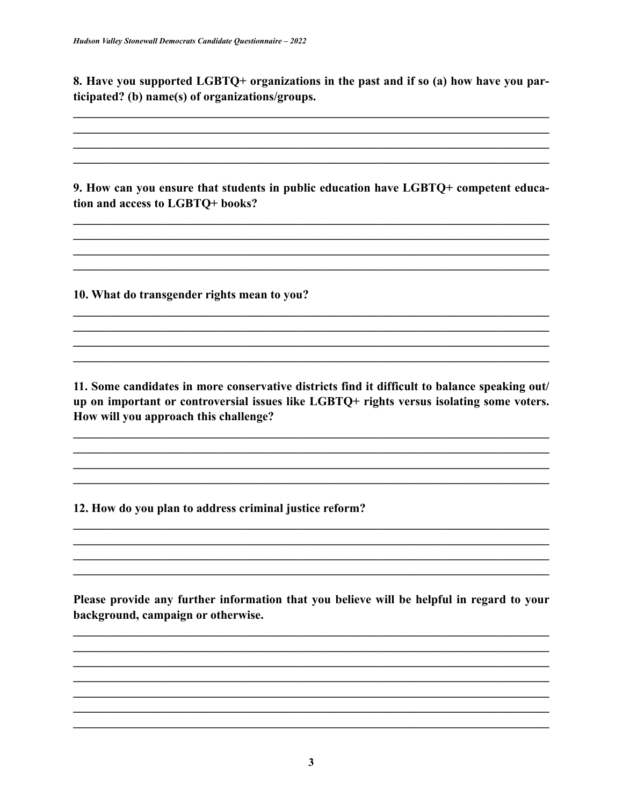8. Have you supported LGBTQ+ organizations in the past and if so (a) how have you participated? (b) name(s) of organizations/groups.

9. How can you ensure that students in public education have LGBTQ+ competent education and access to LGBTQ+ books?

10. What do transgender rights mean to you?

11. Some candidates in more conservative districts find it difficult to balance speaking out/ up on important or controversial issues like LGBTQ+ rights versus isolating some voters. How will you approach this challenge?

12. How do you plan to address criminal justice reform?

Please provide any further information that you believe will be helpful in regard to your background, campaign or otherwise.